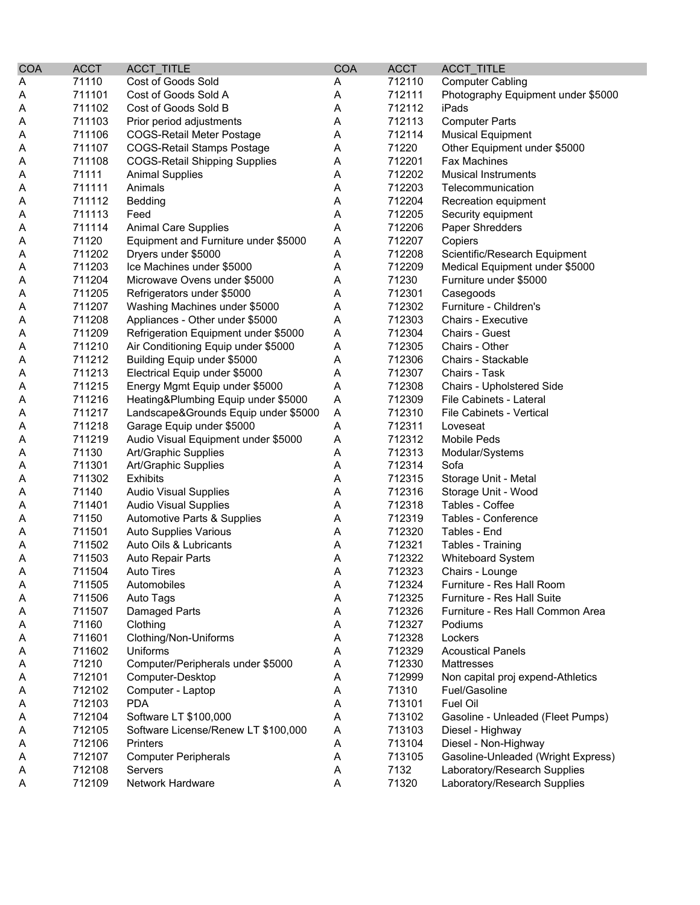| <b>COA</b> | <b>ACCT</b> | ACCT_TITLE                           | <b>COA</b> | <b>ACCT</b> | ACCT_TITLE                         |
|------------|-------------|--------------------------------------|------------|-------------|------------------------------------|
| Α          | 71110       | Cost of Goods Sold                   | Α          | 712110      | <b>Computer Cabling</b>            |
| Α          | 711101      | Cost of Goods Sold A                 | A          | 712111      | Photography Equipment under \$5000 |
| A          | 711102      | Cost of Goods Sold B                 | A          | 712112      | iPads                              |
| A          | 711103      | Prior period adjustments             | Α          | 712113      | <b>Computer Parts</b>              |
| A          | 711106      | <b>COGS-Retail Meter Postage</b>     | A          | 712114      | <b>Musical Equipment</b>           |
| Α          | 711107      | <b>COGS-Retail Stamps Postage</b>    | A          | 71220       | Other Equipment under \$5000       |
| Α          | 711108      | <b>COGS-Retail Shipping Supplies</b> | A          | 712201      | <b>Fax Machines</b>                |
| Α          | 71111       | <b>Animal Supplies</b>               | A          | 712202      | <b>Musical Instruments</b>         |
| A          | 711111      | Animals                              | A          | 712203      | Telecommunication                  |
| A          | 711112      | Bedding                              | A          | 712204      | Recreation equipment               |
| A          | 711113      | Feed                                 | Α          | 712205      | Security equipment                 |
| Α          | 711114      | <b>Animal Care Supplies</b>          | A          | 712206      | Paper Shredders                    |
| A          | 71120       | Equipment and Furniture under \$5000 | A          | 712207      | Copiers                            |
| A          | 711202      | Dryers under \$5000                  | A          | 712208      | Scientific/Research Equipment      |
| Α          | 711203      | Ice Machines under \$5000            | A          | 712209      | Medical Equipment under \$5000     |
| Α          | 711204      | Microwave Ovens under \$5000         | A          | 71230       | Furniture under \$5000             |
| A          | 711205      | Refrigerators under \$5000           | A          | 712301      | Casegoods                          |
| A          | 711207      | Washing Machines under \$5000        | A          | 712302      | Furniture - Children's             |
| A          | 711208      | Appliances - Other under \$5000      | A          | 712303      | <b>Chairs - Executive</b>          |
| A          | 711209      | Refrigeration Equipment under \$5000 | A          | 712304      | Chairs - Guest                     |
| A          | 711210      | Air Conditioning Equip under \$5000  | A          | 712305      | Chairs - Other                     |
| A          | 711212      | Building Equip under \$5000          | Α          | 712306      | Chairs - Stackable                 |
| A          | 711213      | Electrical Equip under \$5000        | A          | 712307      | Chairs - Task                      |
| A          | 711215      | Energy Mgmt Equip under \$5000       | A          | 712308      | Chairs - Upholstered Side          |
| A          | 711216      | Heating&Plumbing Equip under \$5000  | A          | 712309      | File Cabinets - Lateral            |
| A          | 711217      | Landscape&Grounds Equip under \$5000 | A          | 712310      | File Cabinets - Vertical           |
| A          | 711218      | Garage Equip under \$5000            | Α          | 712311      | Loveseat                           |
| A          | 711219      | Audio Visual Equipment under \$5000  | A          | 712312      | Mobile Peds                        |
| A          | 71130       | Art/Graphic Supplies                 | A          | 712313      | Modular/Systems                    |
| A          | 711301      | Art/Graphic Supplies                 | A          | 712314      | Sofa                               |
| A          | 711302      | <b>Exhibits</b>                      | Α          | 712315      | Storage Unit - Metal               |
| A          | 71140       | <b>Audio Visual Supplies</b>         | A          | 712316      | Storage Unit - Wood                |
| A          | 711401      | <b>Audio Visual Supplies</b>         | A          | 712318      | Tables - Coffee                    |
| A          | 71150       | Automotive Parts & Supplies          | A          | 712319      | Tables - Conference                |
| A          | 711501      | <b>Auto Supplies Various</b>         | A          | 712320      | Tables - End                       |
| A          | 711502      | Auto Oils & Lubricants               | A          | 712321      | Tables - Training                  |
| A          | 711503      | <b>Auto Repair Parts</b>             | A          | 712322      | <b>Whiteboard System</b>           |
| A          | 711504      | Auto Tires                           | Α          | 712323      | Chairs - Lounge                    |
| A          | 711505      | Automobiles                          | A          | 712324      | Furniture - Res Hall Room          |
| A          | 711506      | Auto Tags                            | Α          | 712325      | Furniture - Res Hall Suite         |
| A          | 711507      | <b>Damaged Parts</b>                 | A          | 712326      | Furniture - Res Hall Common Area   |
| A          | 71160       | Clothing                             | Α          | 712327      | Podiums                            |
| Α          | 711601      | Clothing/Non-Uniforms                | Α          | 712328      | Lockers                            |
| Α          | 711602      | Uniforms                             | Α          | 712329      | <b>Acoustical Panels</b>           |
| Α          | 71210       | Computer/Peripherals under \$5000    | Α          | 712330      | Mattresses                         |
| A          | 712101      | Computer-Desktop                     | Α          | 712999      | Non capital proj expend-Athletics  |
| A          | 712102      | Computer - Laptop                    | A          | 71310       | Fuel/Gasoline                      |
| Α          | 712103      | <b>PDA</b>                           | A          | 713101      | Fuel Oil                           |
| Α          | 712104      | Software LT \$100,000                | Α          | 713102      | Gasoline - Unleaded (Fleet Pumps)  |
| Α          | 712105      | Software License/Renew LT \$100,000  | Α          | 713103      | Diesel - Highway                   |
| Α          | 712106      | Printers                             | Α          | 713104      | Diesel - Non-Highway               |
|            | 712107      | <b>Computer Peripherals</b>          | A          | 713105      | Gasoline-Unleaded (Wright Express) |
| A          | 712108      | Servers                              | A          | 7132        | Laboratory/Research Supplies       |
| A          | 712109      | Network Hardware                     | A          | 71320       | Laboratory/Research Supplies       |
| A          |             |                                      |            |             |                                    |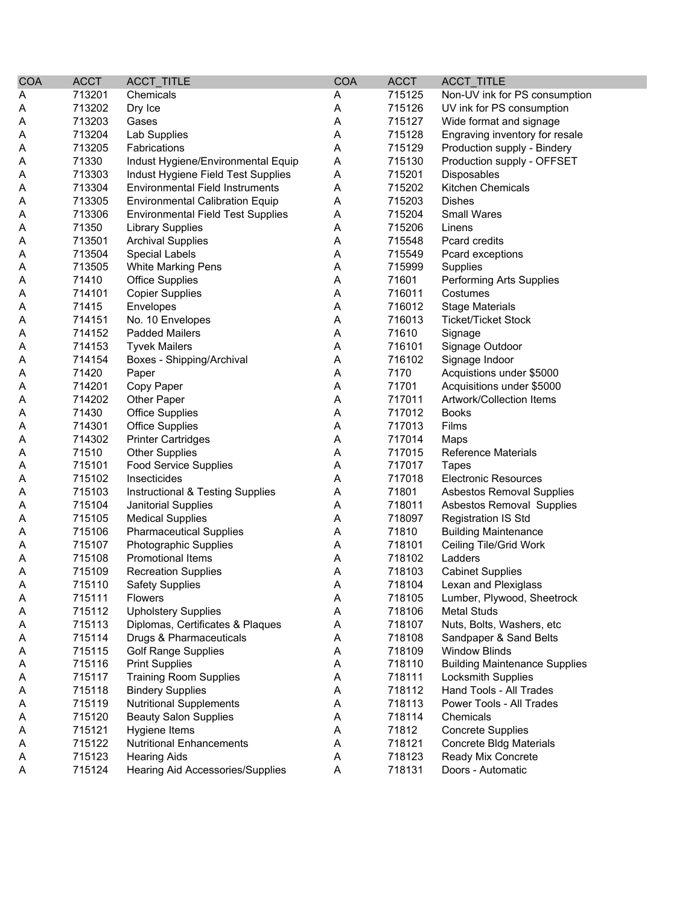| <b>COA</b> | <b>ACCT</b>      | ACCT_TITLE                               | <b>COA</b> | <b>ACCT</b>      | ACCT_TITLE                           |
|------------|------------------|------------------------------------------|------------|------------------|--------------------------------------|
| Α          | 713201           | Chemicals                                | A          | 715125           | Non-UV ink for PS consumption        |
| Α          | 713202           | Dry Ice                                  | A          | 715126           | UV ink for PS consumption            |
| A          | 713203           | Gases                                    | Α          | 715127           | Wide format and signage              |
| A          | 713204           | Lab Supplies                             | Α          | 715128           | Engraving inventory for resale       |
| A          | 713205           | Fabrications                             | A          | 715129           | Production supply - Bindery          |
| A          | 71330            | Indust Hygiene/Environmental Equip       | A          | 715130           | Production supply - OFFSET           |
| Α          | 713303           | Indust Hygiene Field Test Supplies       | Α          | 715201           | Disposables                          |
| Α          | 713304           | <b>Environmental Field Instruments</b>   | A          | 715202           | Kitchen Chemicals                    |
| Α          | 713305           | <b>Environmental Calibration Equip</b>   | Α          | 715203           | <b>Dishes</b>                        |
| A          | 713306           | <b>Environmental Field Test Supplies</b> | A          | 715204           | <b>Small Wares</b>                   |
| A          | 71350            | <b>Library Supplies</b>                  | A          | 715206           | Linens                               |
| Α          | 713501           | <b>Archival Supplies</b>                 | A          | 715548           | Pcard credits                        |
| Α          | 713504           | <b>Special Labels</b>                    | Α          | 715549           | Pcard exceptions                     |
| A          | 713505           | <b>White Marking Pens</b>                | Α          | 715999           | Supplies                             |
| Α          | 71410            | <b>Office Supplies</b>                   | A          | 71601            | Performing Arts Supplies             |
| Α          | 714101           | <b>Copier Supplies</b>                   | A          | 716011           | Costumes                             |
| A          | 71415            | Envelopes                                | A          | 716012           | <b>Stage Materials</b>               |
| A          | 714151           | No. 10 Envelopes                         | Α          | 716013           | <b>Ticket/Ticket Stock</b>           |
| A          | 714152           | <b>Padded Mailers</b>                    | Α          | 71610            | Signage                              |
| A          | 714153           | <b>Tyvek Mailers</b>                     | A          | 716101           | Signage Outdoor                      |
| Α          | 714154           | Boxes - Shipping/Archival                | A          | 716102           | Signage Indoor                       |
| Α          | 71420            | Paper                                    | A          | 7170             | Acquistions under \$5000             |
| A          | 714201           | Copy Paper                               | A          | 71701            | Acquisitions under \$5000            |
| A          | 714202           | Other Paper                              | A          | 717011           | Artwork/Collection Items             |
| A          | 71430            | <b>Office Supplies</b>                   | A          | 717012           | <b>Books</b>                         |
| A          | 714301           | <b>Office Supplies</b>                   | A          | 717013           | Films                                |
| Α          | 714302           | <b>Printer Cartridges</b>                | A          | 717014           | Maps                                 |
| Α          | 71510            | <b>Other Supplies</b>                    | Α          | 717015           | <b>Reference Materials</b>           |
| Α          | 715101           | <b>Food Service Supplies</b>             | A          | 717017           | Tapes                                |
| Α          | 715102           | Insecticides                             | A          | 717018           | <b>Electronic Resources</b>          |
| A          | 715103           | Instructional & Testing Supplies         | A          | 71801            | <b>Asbestos Removal Supplies</b>     |
|            | 715104           | Janitorial Supplies                      | A          | 718011           | <b>Asbestos Removal Supplies</b>     |
| A          | 715105           | <b>Medical Supplies</b>                  | Α          | 718097           | <b>Registration IS Std</b>           |
| A          |                  |                                          |            | 71810            |                                      |
| A          | 715106           | <b>Pharmaceutical Supplies</b>           | A          |                  | <b>Building Maintenance</b>          |
| A          | 715107           | Photographic Supplies                    | A          | 718101<br>718102 | Ceiling Tile/Grid Work               |
| Α          | 715108<br>715109 | Promotional Items                        | A<br>A     | 718103           | Ladders                              |
| Α          |                  | <b>Recreation Supplies</b>               |            |                  | <b>Cabinet Supplies</b>              |
| A          | 715110           | <b>Safety Supplies</b>                   | A          | 718104           | Lexan and Plexiglass                 |
| A          | 715111           | <b>Flowers</b>                           | A          | 718105           | Lumber, Plywood, Sheetrock           |
| A          | 715112           | <b>Upholstery Supplies</b>               | Α          | 718106           | Metal Studs                          |
| A          | 715113           | Diplomas, Certificates & Plaques         | A          | 718107           | Nuts, Bolts, Washers, etc            |
| Α          | 715114           | Drugs & Pharmaceuticals                  | A          | 718108           | Sandpaper & Sand Belts               |
| A          | 715115           | <b>Golf Range Supplies</b>               | Α          | 718109           | <b>Window Blinds</b>                 |
| A          | 715116           | <b>Print Supplies</b>                    | Α          | 718110           | <b>Building Maintenance Supplies</b> |
| A          | 715117           | <b>Training Room Supplies</b>            | Α          | 718111           | <b>Locksmith Supplies</b>            |
| A          | 715118           | <b>Bindery Supplies</b>                  | Α          | 718112           | Hand Tools - All Trades              |
| A          | 715119           | <b>Nutritional Supplements</b>           | A          | 718113           | Power Tools - All Trades             |
| A          | 715120           | <b>Beauty Salon Supplies</b>             | Α          | 718114           | Chemicals                            |
| A          | 715121           | Hygiene Items                            | A          | 71812            | <b>Concrete Supplies</b>             |
| Α          | 715122           | <b>Nutritional Enhancements</b>          | A          | 718121           | Concrete Bldg Materials              |
| Α          | 715123           | <b>Hearing Aids</b>                      | A          | 718123           | Ready Mix Concrete                   |
| A          | 715124           | Hearing Aid Accessories/Supplies         | A          | 718131           | Doors - Automatic                    |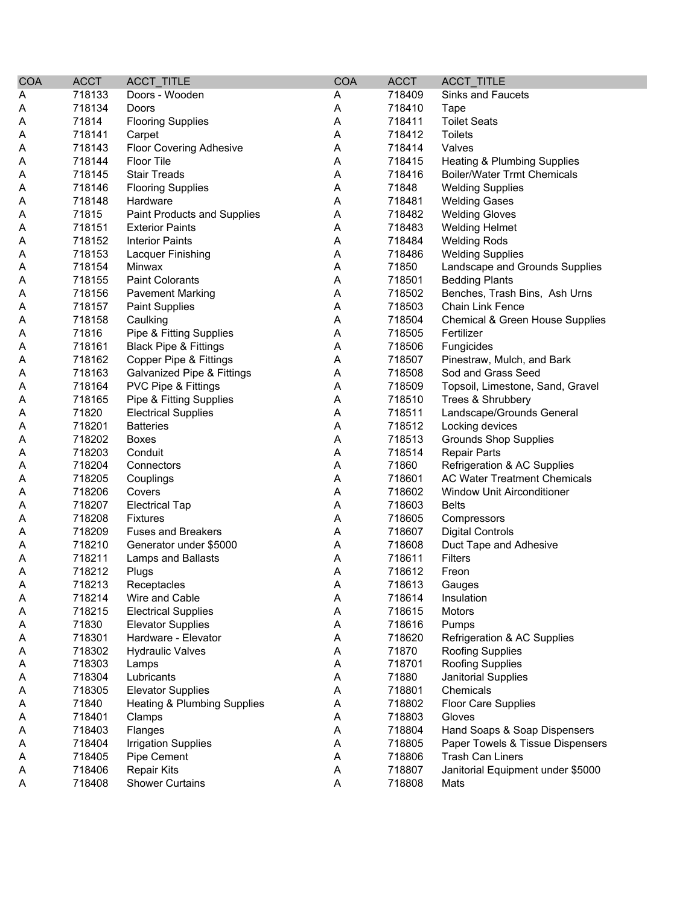| <b>COA</b> | <b>ACCT</b> | ACCT_TITLE                             | <b>COA</b> | <b>ACCT</b> | ACCT_TITLE                             |
|------------|-------------|----------------------------------------|------------|-------------|----------------------------------------|
| Α          | 718133      | Doors - Wooden                         | Α          | 718409      | Sinks and Faucets                      |
| Α          | 718134      | Doors                                  | A          | 718410      | Tape                                   |
| A          | 71814       | <b>Flooring Supplies</b>               | A          | 718411      | <b>Toilet Seats</b>                    |
| Α          | 718141      | Carpet                                 | A          | 718412      | <b>Toilets</b>                         |
| Α          | 718143      | <b>Floor Covering Adhesive</b>         | A          | 718414      | Valves                                 |
| Α          | 718144      | <b>Floor Tile</b>                      | A          | 718415      | <b>Heating &amp; Plumbing Supplies</b> |
| Α          | 718145      | <b>Stair Treads</b>                    | A          | 718416      | <b>Boiler/Water Trmt Chemicals</b>     |
| Α          | 718146      | <b>Flooring Supplies</b>               | A          | 71848       | <b>Welding Supplies</b>                |
| Α          | 718148      | Hardware                               | A          | 718481      | <b>Welding Gases</b>                   |
| A          | 71815       | Paint Products and Supplies            | A          | 718482      | <b>Welding Gloves</b>                  |
| Α          | 718151      | <b>Exterior Paints</b>                 | A          | 718483      | <b>Welding Helmet</b>                  |
| Α          | 718152      | <b>Interior Paints</b>                 | A          | 718484      | <b>Welding Rods</b>                    |
| Α          | 718153      | Lacquer Finishing                      | A          | 718486      | <b>Welding Supplies</b>                |
| Α          | 718154      | Minwax                                 | A          | 71850       | Landscape and Grounds Supplies         |
| Α          | 718155      | <b>Paint Colorants</b>                 | A          | 718501      | <b>Bedding Plants</b>                  |
| Α          | 718156      | <b>Pavement Marking</b>                | A          | 718502      | Benches, Trash Bins, Ash Urns          |
| Α          | 718157      | <b>Paint Supplies</b>                  | A          | 718503      | <b>Chain Link Fence</b>                |
| Α          | 718158      | Caulking                               | A          | 718504      | Chemical & Green House Supplies        |
| Α          | 71816       | Pipe & Fitting Supplies                | Α          | 718505      | Fertilizer                             |
| Α          | 718161      | <b>Black Pipe &amp; Fittings</b>       | A          | 718506      | Fungicides                             |
| A          | 718162      | Copper Pipe & Fittings                 | Α          | 718507      | Pinestraw, Mulch, and Bark             |
| A          | 718163      | Galvanized Pipe & Fittings             | Α          | 718508      | Sod and Grass Seed                     |
| A          | 718164      | PVC Pipe & Fittings                    | A          | 718509      | Topsoil, Limestone, Sand, Gravel       |
| A          | 718165      | Pipe & Fitting Supplies                | A          | 718510      | Trees & Shrubbery                      |
| Α          | 71820       | <b>Electrical Supplies</b>             | A          | 718511      | Landscape/Grounds General              |
| Α          | 718201      | <b>Batteries</b>                       | A          | 718512      | Locking devices                        |
| Α          | 718202      | <b>Boxes</b>                           | A          | 718513      | <b>Grounds Shop Supplies</b>           |
| Α          | 718203      | Conduit                                | A          | 718514      | <b>Repair Parts</b>                    |
| Α          | 718204      | Connectors                             | A          | 71860       | Refrigeration & AC Supplies            |
| Α          | 718205      | Couplings                              | A          | 718601      | <b>AC Water Treatment Chemicals</b>    |
| Α          | 718206      | Covers                                 | A          | 718602      | <b>Window Unit Airconditioner</b>      |
| Α          | 718207      | <b>Electrical Tap</b>                  | A          | 718603      | <b>Belts</b>                           |
| Α          | 718208      | <b>Fixtures</b>                        | A          | 718605      | Compressors                            |
| A          | 718209      | <b>Fuses and Breakers</b>              | Α          | 718607      | <b>Digital Controls</b>                |
| Α          | 718210      | Generator under \$5000                 | A          | 718608      | Duct Tape and Adhesive                 |
| Α          | 718211      | Lamps and Ballasts                     | A          | 718611      | <b>Filters</b>                         |
| A          | 718212      | Plugs                                  | A          | 718612      | Freon                                  |
| Α          | 718213      | Receptacles                            | Α          | 718613      | Gauges                                 |
| A          | 718214      | Wire and Cable                         | A          | 718614      | Insulation                             |
| A          | 718215      | <b>Electrical Supplies</b>             | Α          | 718615      | Motors                                 |
| A          | 71830       | <b>Elevator Supplies</b>               | Α          | 718616      | Pumps                                  |
| A          | 718301      | Hardware - Elevator                    | A          | 718620      | Refrigeration & AC Supplies            |
| Α          | 718302      | <b>Hydraulic Valves</b>                | Α          | 71870       | Roofing Supplies                       |
| Α          | 718303      | Lamps                                  | Α          | 718701      | Roofing Supplies                       |
| A          | 718304      | Lubricants                             | A          | 71880       | Janitorial Supplies                    |
| Α          | 718305      | <b>Elevator Supplies</b>               | Α          | 718801      | Chemicals                              |
| Α          | 71840       | <b>Heating &amp; Plumbing Supplies</b> | A          | 718802      | Floor Care Supplies                    |
| Α          | 718401      | Clamps                                 | Α          | 718803      | Gloves                                 |
| Α          | 718403      | Flanges                                | Α          | 718804      | Hand Soaps & Soap Dispensers           |
| Α          | 718404      | <b>Irrigation Supplies</b>             | Α          | 718805      | Paper Towels & Tissue Dispensers       |
| A          | 718405      | Pipe Cement                            | Α          | 718806      | <b>Trash Can Liners</b>                |
| A          | 718406      | <b>Repair Kits</b>                     | Α          | 718807      | Janitorial Equipment under \$5000      |
| A          | 718408      | <b>Shower Curtains</b>                 | A          | 718808      | Mats                                   |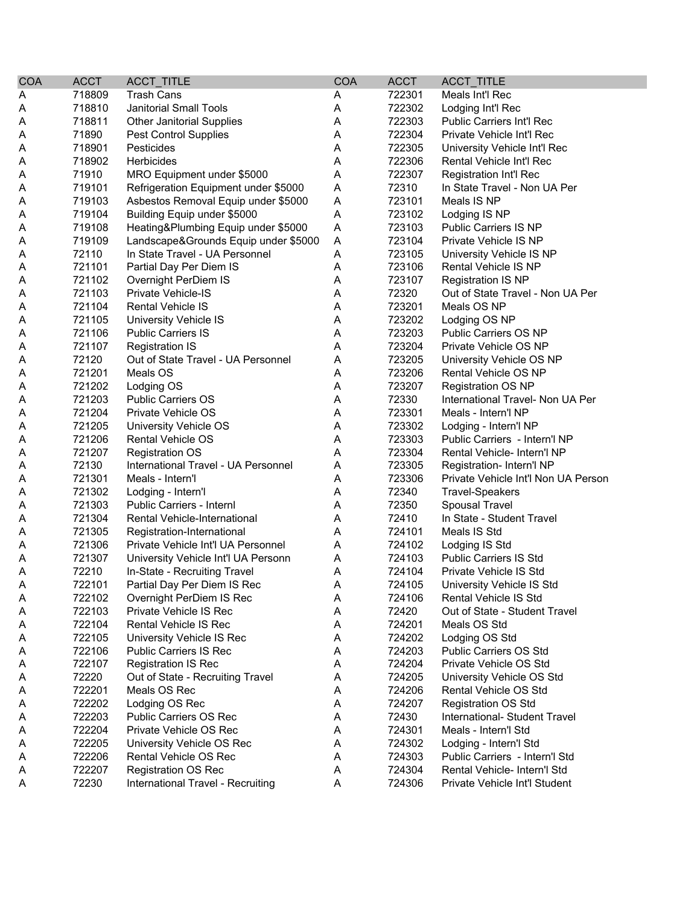| <b>COA</b> | <b>ACCT</b> | ACCT_TITLE                                       | <b>COA</b> | <b>ACCT</b> | ACCT_TITLE                          |
|------------|-------------|--------------------------------------------------|------------|-------------|-------------------------------------|
| A          | 718809      | <b>Trash Cans</b>                                | A          | 722301      | Meals Int'l Rec                     |
| A          | 718810      | <b>Janitorial Small Tools</b>                    | A          | 722302      | Lodging Int'l Rec                   |
| Α          | 718811      | <b>Other Janitorial Supplies</b>                 | Α          | 722303      | Public Carriers Int'l Rec           |
| A          | 71890       | <b>Pest Control Supplies</b>                     | Α          | 722304      | Private Vehicle Int'l Rec           |
| Α          | 718901      | Pesticides                                       | Α          | 722305      | University Vehicle Int'l Rec        |
| Α          | 718902      | <b>Herbicides</b>                                | Α          | 722306      | Rental Vehicle Int'l Rec            |
| A          | 71910       | MRO Equipment under \$5000                       | Α          | 722307      | Registration Int'l Rec              |
| A          | 719101      | Refrigeration Equipment under \$5000             | Α          | 72310       | In State Travel - Non UA Per        |
| Α          | 719103      | Asbestos Removal Equip under \$5000              | A          | 723101      | Meals IS NP                         |
| Α          | 719104      | Building Equip under \$5000                      | Α          | 723102      | Lodging IS NP                       |
| A          | 719108      | Heating&Plumbing Equip under \$5000              | Α          | 723103      | <b>Public Carriers IS NP</b>        |
| Α          | 719109      | Landscape&Grounds Equip under \$5000             | A          | 723104      | Private Vehicle IS NP               |
| Α          | 72110       | In State Travel - UA Personnel                   | Α          | 723105      | University Vehicle IS NP            |
| A          | 721101      | Partial Day Per Diem IS                          | Α          | 723106      | <b>Rental Vehicle IS NP</b>         |
| A          | 721102      | Overnight PerDiem IS                             | Α          | 723107      | <b>Registration IS NP</b>           |
| A          | 721103      | <b>Private Vehicle-IS</b>                        | A          | 72320       | Out of State Travel - Non UA Per    |
| A          | 721104      | <b>Rental Vehicle IS</b>                         | Α          | 723201      | Meals OS NP                         |
| A          | 721105      | University Vehicle IS                            | Α          | 723202      | Lodging OS NP                       |
| Α          | 721106      | <b>Public Carriers IS</b>                        | Α          | 723203      | <b>Public Carriers OS NP</b>        |
| A          | 721107      | <b>Registration IS</b>                           | Α          | 723204      | Private Vehicle OS NP               |
| A          | 72120       | Out of State Travel - UA Personnel               | Α          | 723205      | University Vehicle OS NP            |
| A          | 721201      | Meals OS                                         | Α          | 723206      | Rental Vehicle OS NP                |
| A          | 721202      | Lodging OS                                       | Α          | 723207      | <b>Registration OS NP</b>           |
| A          | 721203      | <b>Public Carriers OS</b>                        | Α          | 72330       | International Travel- Non UA Per    |
| A          | 721204      | <b>Private Vehicle OS</b>                        | Α          | 723301      | Meals - Intern'l NP                 |
| A          | 721205      | University Vehicle OS                            | Α          | 723302      | Lodging - Intern'l NP               |
| Α          | 721206      | <b>Rental Vehicle OS</b>                         | Α          | 723303      | Public Carriers - Intern'l NP       |
| A          | 721207      | <b>Registration OS</b>                           | A          | 723304      | Rental Vehicle- Intern'l NP         |
| A          | 72130       | International Travel - UA Personnel              | Α          | 723305      | Registration- Intern'l NP           |
| A          | 721301      | Meals - Intern'l                                 | A          | 723306      | Private Vehicle Int'l Non UA Person |
| A          | 721302      | Lodging - Intern'l                               | Α          | 72340       | <b>Travel-Speakers</b>              |
| A          | 721303      | <b>Public Carriers - Internl</b>                 | Α          | 72350       | Spousal Travel                      |
| A          | 721304      | Rental Vehicle-International                     | Α          | 72410       | In State - Student Travel           |
| Α          | 721305      | Registration-International                       | A          | 724101      | Meals IS Std                        |
| A          | 721306      | Private Vehicle Int'l UA Personnel               | A          | 724102      | Lodging IS Std                      |
| A          | 721307      | University Vehicle Int'l UA Personn              | A          | 724103      | <b>Public Carriers IS Std</b>       |
| A          | 72210       | In-State - Recruiting Travel                     | A          | 724104      | Private Vehicle IS Std              |
| A          | 722101      | Partial Day Per Diem IS Rec                      | Α          | 724105      | University Vehicle IS Std           |
| A          | 722102      | Overnight PerDiem IS Rec                         | A          | 724106      | Rental Vehicle IS Std               |
| A          | 722103      | Private Vehicle IS Rec                           | Α          | 72420       | Out of State - Student Travel       |
| Α          | 722104      | Rental Vehicle IS Rec                            | A          | 724201      | Meals OS Std                        |
| A          | 722105      | University Vehicle IS Rec                        | Α          | 724202      | Lodging OS Std                      |
| A          | 722106      | <b>Public Carriers IS Rec</b>                    | Α          | 724203      | Public Carriers OS Std              |
| A          | 722107      | <b>Registration IS Rec</b>                       | Α          | 724204      | Private Vehicle OS Std              |
| A          | 72220       | Out of State - Recruiting Travel                 | A          | 724205      | University Vehicle OS Std           |
| A          | 722201      | Meals OS Rec                                     | Α          | 724206      | Rental Vehicle OS Std               |
| A          | 722202      | Lodging OS Rec                                   | Α          | 724207      | <b>Registration OS Std</b>          |
|            | 722203      |                                                  |            | 72430       | International- Student Travel       |
| Α          | 722204      | Public Carriers OS Rec<br>Private Vehicle OS Rec | Α          | 724301      | Meals - Intern'l Std                |
| Α          |             |                                                  | A          |             |                                     |
| A          | 722205      | University Vehicle OS Rec                        | A          | 724302      | Lodging - Intern'l Std              |
| A          | 722206      | Rental Vehicle OS Rec                            | A          | 724303      | Public Carriers - Intern'l Std      |
| A          | 722207      | <b>Registration OS Rec</b>                       | A          | 724304      | Rental Vehicle- Intern'l Std        |
| A          | 72230       | International Travel - Recruiting                | Α          | 724306      | Private Vehicle Int'l Student       |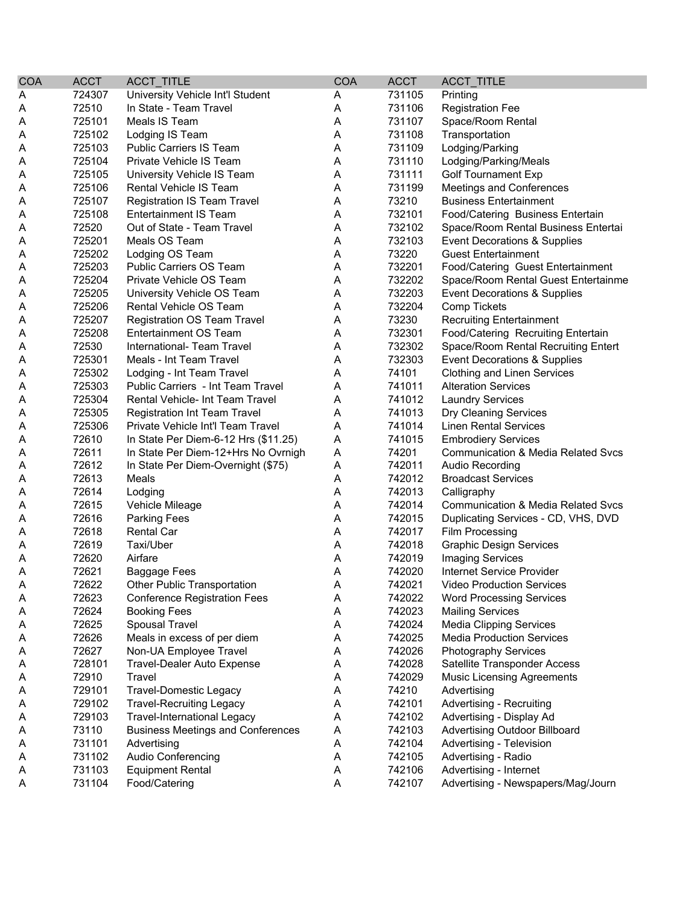| <b>COA</b> | <b>ACCT</b> | <b>ACCT TITLE</b>                        | <b>COA</b> | <b>ACCT</b> | ACCT_TITLE                                    |
|------------|-------------|------------------------------------------|------------|-------------|-----------------------------------------------|
| A          | 724307      | University Vehicle Int'l Student         | A          | 731105      | Printing                                      |
| A          | 72510       | In State - Team Travel                   | A          | 731106      | <b>Registration Fee</b>                       |
| Α          | 725101      | Meals IS Team                            | A          | 731107      | Space/Room Rental                             |
| Α          | 725102      | Lodging IS Team                          | Α          | 731108      | Transportation                                |
| Α          | 725103      | Public Carriers IS Team                  | Α          | 731109      | Lodging/Parking                               |
| Α          | 725104      | Private Vehicle IS Team                  | Α          | 731110      | Lodging/Parking/Meals                         |
| Α          | 725105      | University Vehicle IS Team               | Α          | 731111      | <b>Golf Tournament Exp</b>                    |
| Α          | 725106      | Rental Vehicle IS Team                   | Α          | 731199      | Meetings and Conferences                      |
| A          | 725107      | <b>Registration IS Team Travel</b>       | Α          | 73210       | <b>Business Entertainment</b>                 |
| A          | 725108      | <b>Entertainment IS Team</b>             | Α          | 732101      | Food/Catering Business Entertain              |
| Α          | 72520       | Out of State - Team Travel               | A          | 732102      | Space/Room Rental Business Entertai           |
| Α          | 725201      | Meals OS Team                            | Α          | 732103      | Event Decorations & Supplies                  |
| Α          | 725202      | Lodging OS Team                          | A          | 73220       | <b>Guest Entertainment</b>                    |
| Α          | 725203      | Public Carriers OS Team                  | A          | 732201      | Food/Catering Guest Entertainment             |
| Α          | 725204      | Private Vehicle OS Team                  | A          | 732202      | Space/Room Rental Guest Entertainme           |
| Α          | 725205      | University Vehicle OS Team               | Α          | 732203      | Event Decorations & Supplies                  |
| Α          | 725206      | Rental Vehicle OS Team                   | Α          | 732204      | <b>Comp Tickets</b>                           |
| A          | 725207      | Registration OS Team Travel              | Α          | 73230       | <b>Recruiting Entertainment</b>               |
| A          | 725208      | <b>Entertainment OS Team</b>             | Α          | 732301      | Food/Catering Recruiting Entertain            |
| Α          | 72530       | International- Team Travel               | Α          | 732302      | Space/Room Rental Recruiting Entert           |
| Α          | 725301      | Meals - Int Team Travel                  | Α          | 732303      | Event Decorations & Supplies                  |
| Α          | 725302      | Lodging - Int Team Travel                | Α          | 74101       | <b>Clothing and Linen Services</b>            |
| A          | 725303      | Public Carriers - Int Team Travel        | Α          | 741011      | <b>Alteration Services</b>                    |
| A          | 725304      | <b>Rental Vehicle- Int Team Travel</b>   | Α          | 741012      | <b>Laundry Services</b>                       |
| Α          | 725305      | <b>Registration Int Team Travel</b>      | Α          | 741013      | Dry Cleaning Services                         |
| Α          | 725306      | Private Vehicle Int'l Team Travel        | Α          | 741014      | <b>Linen Rental Services</b>                  |
| Α          | 72610       | In State Per Diem-6-12 Hrs (\$11.25)     | A          | 741015      | <b>Embrodiery Services</b>                    |
| Α          | 72611       | In State Per Diem-12+Hrs No Ovrnigh      | Α          | 74201       | <b>Communication &amp; Media Related Svcs</b> |
| Α          | 72612       | In State Per Diem-Overnight (\$75)       | A          | 742011      | Audio Recording                               |
| Α          | 72613       | Meals                                    | Α          | 742012      | <b>Broadcast Services</b>                     |
| Α          | 72614       | Lodging                                  | Α          | 742013      | Calligraphy                                   |
| A          | 72615       | Vehicle Mileage                          | A          | 742014      | Communication & Media Related Svcs            |
| Α          | 72616       | <b>Parking Fees</b>                      | Α          | 742015      | Duplicating Services - CD, VHS, DVD           |
| Α          | 72618       | <b>Rental Car</b>                        | Α          | 742017      | Film Processing                               |
| Α          | 72619       | Taxi/Uber                                | A          | 742018      | <b>Graphic Design Services</b>                |
| Α          | 72620       | Airfare                                  | Α          | 742019      | <b>Imaging Services</b>                       |
| A          | 72621       | <b>Baggage Fees</b>                      | A          | 742020      | Internet Service Provider                     |
| A          | 72622       | Other Public Transportation              | A          | 742021      | Video Production Services                     |
| A          | 72623       | <b>Conference Registration Fees</b>      | A          | 742022      | <b>Word Processing Services</b>               |
| A          | 72624       | <b>Booking Fees</b>                      | Α          | 742023      | <b>Mailing Services</b>                       |
| A          | 72625       | Spousal Travel                           | Α          | 742024      | <b>Media Clipping Services</b>                |
| A          | 72626       | Meals in excess of per diem              | Α          | 742025      | <b>Media Production Services</b>              |
| Α          | 72627       | Non-UA Employee Travel                   | A          | 742026      | <b>Photography Services</b>                   |
| Α          | 728101      | Travel-Dealer Auto Expense               | Α          | 742028      | Satellite Transponder Access                  |
| A          | 72910       | Travel                                   | Α          | 742029      | <b>Music Licensing Agreements</b>             |
| A          | 729101      | <b>Travel-Domestic Legacy</b>            | Α          | 74210       | Advertising                                   |
| A          | 729102      | <b>Travel-Recruiting Legacy</b>          | A          | 742101      | Advertising - Recruiting                      |
| A          | 729103      | <b>Travel-International Legacy</b>       | Α          | 742102      | Advertising - Display Ad                      |
| Α          | 73110       | <b>Business Meetings and Conferences</b> | Α          | 742103      | Advertising Outdoor Billboard                 |
| Α          | 731101      | Advertising                              | Α          | 742104      | Advertising - Television                      |
| Α          | 731102      | Audio Conferencing                       | A          | 742105      | Advertising - Radio                           |
| A          | 731103      | <b>Equipment Rental</b>                  | A          | 742106      | Advertising - Internet                        |
| A          | 731104      | Food/Catering                            | A          | 742107      | Advertising - Newspapers/Mag/Journ            |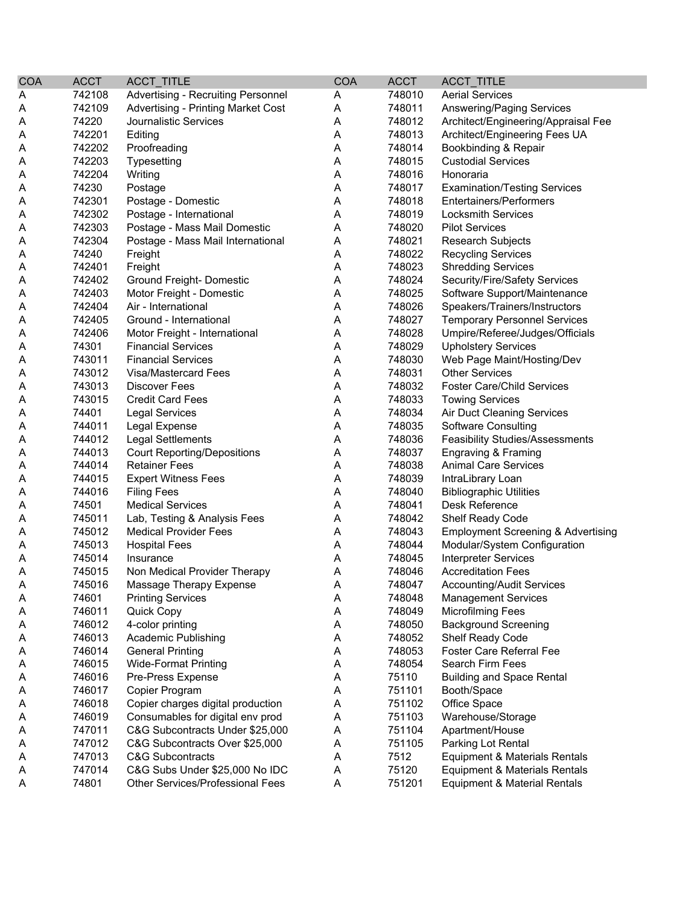| <b>COA</b> | <b>ACCT</b> | ACCT_TITLE                              | <b>COA</b> | <b>ACCT</b> | <b>ACCT TITLE</b>                             |
|------------|-------------|-----------------------------------------|------------|-------------|-----------------------------------------------|
| A          | 742108      | Advertising - Recruiting Personnel      | Α          | 748010      | <b>Aerial Services</b>                        |
| Α          | 742109      | Advertising - Printing Market Cost      | Α          | 748011      | Answering/Paging Services                     |
| A          | 74220       | Journalistic Services                   | Α          | 748012      | Architect/Engineering/Appraisal Fee           |
| A          | 742201      | Editing                                 | Α          | 748013      | Architect/Engineering Fees UA                 |
| Α          | 742202      | Proofreading                            | Α          | 748014      | Bookbinding & Repair                          |
| Α          | 742203      | Typesetting                             | Α          | 748015      | <b>Custodial Services</b>                     |
| A          | 742204      | Writing                                 | Α          | 748016      | Honoraria                                     |
| Α          | 74230       | Postage                                 | А          | 748017      | <b>Examination/Testing Services</b>           |
| Α          | 742301      | Postage - Domestic                      | А          | 748018      | <b>Entertainers/Performers</b>                |
| A          | 742302      | Postage - International                 | А          | 748019      | <b>Locksmith Services</b>                     |
| A          | 742303      | Postage - Mass Mail Domestic            | А          | 748020      | <b>Pilot Services</b>                         |
| Α          | 742304      | Postage - Mass Mail International       | Α          | 748021      | <b>Research Subjects</b>                      |
| Α          | 74240       | Freight                                 | Α          | 748022      | <b>Recycling Services</b>                     |
| Α          | 742401      | Freight                                 | Α          | 748023      | <b>Shredding Services</b>                     |
| Α          | 742402      | Ground Freight- Domestic                | Α          | 748024      | Security/Fire/Safety Services                 |
| Α          | 742403      | Motor Freight - Domestic                | Α          | 748025      | Software Support/Maintenance                  |
| A          | 742404      | Air - International                     | Α          | 748026      | Speakers/Trainers/Instructors                 |
| Α          | 742405      | Ground - International                  | Α          | 748027      | <b>Temporary Personnel Services</b>           |
| A          | 742406      | Motor Freight - International           | Α          | 748028      | Umpire/Referee/Judges/Officials               |
| Α          | 74301       | <b>Financial Services</b>               | Α          | 748029      | <b>Upholstery Services</b>                    |
| Α          | 743011      | <b>Financial Services</b>               | Α          | 748030      | Web Page Maint/Hosting/Dev                    |
| Α          | 743012      | Visa/Mastercard Fees                    | Α          | 748031      | <b>Other Services</b>                         |
| Α          | 743013      | <b>Discover Fees</b>                    | Α          | 748032      | <b>Foster Care/Child Services</b>             |
| A          | 743015      | <b>Credit Card Fees</b>                 | Α          | 748033      | <b>Towing Services</b>                        |
| Α          | 74401       | <b>Legal Services</b>                   | Α          | 748034      | <b>Air Duct Cleaning Services</b>             |
| A          | 744011      | Legal Expense                           | А          | 748035      | Software Consulting                           |
| Α          | 744012      | <b>Legal Settlements</b>                | Α          | 748036      | <b>Feasibility Studies/Assessments</b>        |
| Α          | 744013      | <b>Court Reporting/Depositions</b>      | А          | 748037      | Engraving & Framing                           |
| Α          | 744014      | <b>Retainer Fees</b>                    | Α          | 748038      | <b>Animal Care Services</b>                   |
| Α          | 744015      | <b>Expert Witness Fees</b>              | Α          | 748039      | IntraLibrary Loan                             |
| Α          | 744016      | <b>Filing Fees</b>                      | Α          | 748040      | <b>Bibliographic Utilities</b>                |
| A          | 74501       | <b>Medical Services</b>                 | Α          | 748041      | Desk Reference                                |
| A          | 745011      | Lab, Testing & Analysis Fees            | Α          | 748042      | Shelf Ready Code                              |
| A          | 745012      | <b>Medical Provider Fees</b>            | Α          | 748043      | <b>Employment Screening &amp; Advertising</b> |
| Α          | 745013      | <b>Hospital Fees</b>                    | Α          | 748044      | Modular/System Configuration                  |
| A          | 745014      | Insurance                               | Α          | 748045      | <b>Interpreter Services</b>                   |
| A          | 745015      | Non Medical Provider Therapy            | Α          | 748046      | <b>Accreditation Fees</b>                     |
| Α          | 745016      | Massage Therapy Expense                 | A          | 748047      | <b>Accounting/Audit Services</b>              |
| A          | 74601       | <b>Printing Services</b>                | Α          | 748048      | <b>Management Services</b>                    |
| A          | 746011      | Quick Copy                              | Α          | 748049      | <b>Microfilming Fees</b>                      |
| Α          | 746012      | 4-color printing                        | Α          | 748050      | <b>Background Screening</b>                   |
| Α          | 746013      | <b>Academic Publishing</b>              | Α          | 748052      | Shelf Ready Code                              |
| Α          | 746014      | <b>General Printing</b>                 | Α          | 748053      | Foster Care Referral Fee                      |
| Α          | 746015      | <b>Wide-Format Printing</b>             | A          | 748054      | Search Firm Fees                              |
| Α          | 746016      | Pre-Press Expense                       | A          | 75110       | <b>Building and Space Rental</b>              |
| Α          | 746017      | Copier Program                          | Α          | 751101      | Booth/Space                                   |
| A          | 746018      | Copier charges digital production       | Α          | 751102      | Office Space                                  |
| Α          | 746019      | Consumables for digital env prod        | Α          | 751103      | Warehouse/Storage                             |
| Α          | 747011      | C&G Subcontracts Under \$25,000         | A          | 751104      | Apartment/House                               |
| Α          | 747012      | C&G Subcontracts Over \$25,000          | Α          | 751105      | Parking Lot Rental                            |
| Α          | 747013      | <b>C&amp;G Subcontracts</b>             | Α          | 7512        | Equipment & Materials Rentals                 |
| Α          | 747014      | C&G Subs Under \$25,000 No IDC          | Α          | 75120       | Equipment & Materials Rentals                 |
| A          | 74801       | <b>Other Services/Professional Fees</b> | Α          | 751201      | <b>Equipment &amp; Material Rentals</b>       |
|            |             |                                         |            |             |                                               |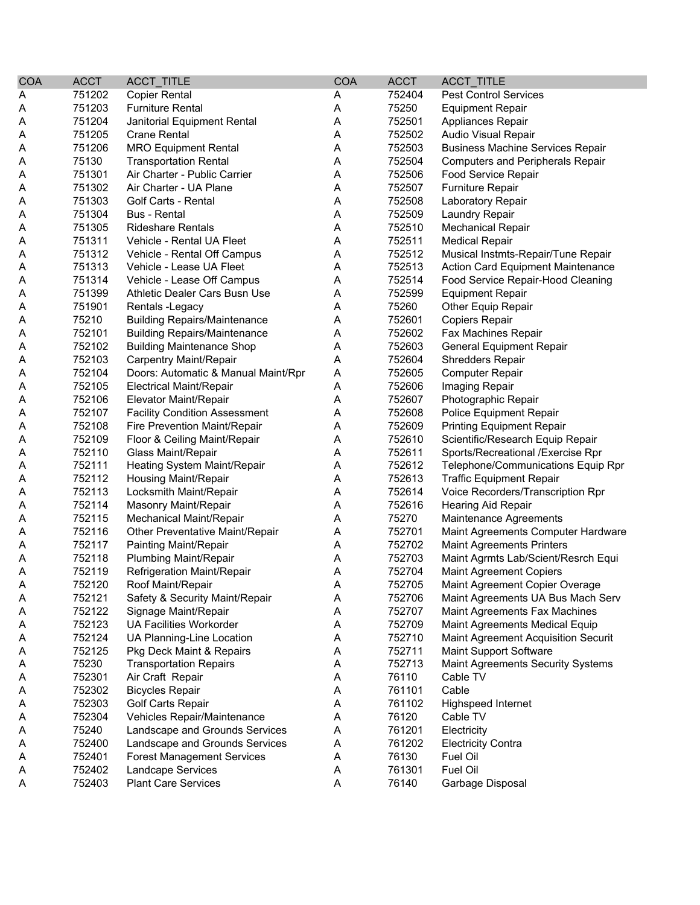| <b>COA</b> | <b>ACCT</b> | ACCT_TITLE                           | <b>COA</b> | <b>ACCT</b> | <b>ACCT TITLE</b>                          |
|------------|-------------|--------------------------------------|------------|-------------|--------------------------------------------|
| A          | 751202      | <b>Copier Rental</b>                 | A          | 752404      | <b>Pest Control Services</b>               |
| Α          | 751203      | <b>Furniture Rental</b>              | Α          | 75250       | <b>Equipment Repair</b>                    |
| Α          | 751204      | Janitorial Equipment Rental          | Α          | 752501      | Appliances Repair                          |
| Α          | 751205      | <b>Crane Rental</b>                  | Α          | 752502      | Audio Visual Repair                        |
| Α          | 751206      | <b>MRO Equipment Rental</b>          | Α          | 752503      | <b>Business Machine Services Repair</b>    |
| Α          | 75130       | <b>Transportation Rental</b>         | Α          | 752504      | <b>Computers and Peripherals Repair</b>    |
| Α          | 751301      | Air Charter - Public Carrier         | Α          | 752506      | Food Service Repair                        |
| Α          | 751302      | Air Charter - UA Plane               | Α          | 752507      | <b>Furniture Repair</b>                    |
| Α          | 751303      | <b>Golf Carts - Rental</b>           | Α          | 752508      | Laboratory Repair                          |
| Α          | 751304      | <b>Bus - Rental</b>                  | Α          | 752509      | <b>Laundry Repair</b>                      |
| A          | 751305      | <b>Rideshare Rentals</b>             | Α          | 752510      | <b>Mechanical Repair</b>                   |
| A          | 751311      | Vehicle - Rental UA Fleet            | A          | 752511      | <b>Medical Repair</b>                      |
| Α          | 751312      | Vehicle - Rental Off Campus          | Α          | 752512      | Musical Instmts-Repair/Tune Repair         |
| A          | 751313      | Vehicle - Lease UA Fleet             | Α          | 752513      | <b>Action Card Equipment Maintenance</b>   |
| Α          | 751314      | Vehicle - Lease Off Campus           | Α          | 752514      | Food Service Repair-Hood Cleaning          |
| Α          | 751399      | Athletic Dealer Cars Busn Use        | A          | 752599      | <b>Equipment Repair</b>                    |
| Α          | 751901      | Rentals - Legacy                     | Α          | 75260       | Other Equip Repair                         |
| Α          | 75210       | <b>Building Repairs/Maintenance</b>  | Α          | 752601      | <b>Copiers Repair</b>                      |
| A          | 752101      | <b>Building Repairs/Maintenance</b>  | Α          | 752602      | Fax Machines Repair                        |
| A          | 752102      | <b>Building Maintenance Shop</b>     | A          | 752603      | <b>General Equipment Repair</b>            |
| A          | 752103      | <b>Carpentry Maint/Repair</b>        | A          | 752604      | <b>Shredders Repair</b>                    |
| Α          | 752104      | Doors: Automatic & Manual Maint/Rpr  | Α          | 752605      | <b>Computer Repair</b>                     |
| Α          | 752105      | <b>Electrical Maint/Repair</b>       | A          | 752606      | Imaging Repair                             |
| A          | 752106      | Elevator Maint/Repair                | A          | 752607      | Photographic Repair                        |
| A          | 752107      | <b>Facility Condition Assessment</b> | Α          | 752608      | Police Equipment Repair                    |
| A          | 752108      | Fire Prevention Maint/Repair         | Α          | 752609      | <b>Printing Equipment Repair</b>           |
| Α          | 752109      | Floor & Ceiling Maint/Repair         | Α          | 752610      | Scientific/Research Equip Repair           |
| Α          | 752110      | Glass Maint/Repair                   | Α          | 752611      | Sports/Recreational /Exercise Rpr          |
| Α          | 752111      | Heating System Maint/Repair          | A          | 752612      | Telephone/Communications Equip Rpr         |
| Α          | 752112      | Housing Maint/Repair                 | Α          | 752613      | <b>Traffic Equipment Repair</b>            |
| Α          | 752113      | Locksmith Maint/Repair               | Α          | 752614      | Voice Recorders/Transcription Rpr          |
| Α          | 752114      | Masonry Maint/Repair                 | Α          | 752616      | Hearing Aid Repair                         |
| A          | 752115      | Mechanical Maint/Repair              | Α          | 75270       | Maintenance Agreements                     |
| A          | 752116      | Other Preventative Maint/Repair      | A          | 752701      | Maint Agreements Computer Hardware         |
| Α          | 752117      | Painting Maint/Repair                | A          | 752702      | <b>Maint Agreements Printers</b>           |
| Α          | 752118      | <b>Plumbing Maint/Repair</b>         | Α          | 752703      | Maint Agrmts Lab/Scient/Resrch Equi        |
| Α          | 752119      | Refrigeration Maint/Repair           | A          | 752704      | <b>Maint Agreement Copiers</b>             |
| A          | 752120      | Roof Maint/Repair                    | Α          | 752705      | Maint Agreement Copier Overage             |
| A          | 752121      | Safety & Security Maint/Repair       | A          | 752706      | Maint Agreements UA Bus Mach Serv          |
| A          | 752122      | Signage Maint/Repair                 | A          | 752707      | Maint Agreements Fax Machines              |
| A          | 752123      | <b>UA Facilities Workorder</b>       | Α          | 752709      | Maint Agreements Medical Equip             |
| A          | 752124      | UA Planning-Line Location            | Α          | 752710      | <b>Maint Agreement Acquisition Securit</b> |
| A          | 752125      | Pkg Deck Maint & Repairs             | Α          | 752711      | Maint Support Software                     |
| A          | 75230       | <b>Transportation Repairs</b>        | A          | 752713      | <b>Maint Agreements Security Systems</b>   |
| Α          | 752301      | Air Craft Repair                     | Α          | 76110       | Cable TV                                   |
| A          | 752302      | <b>Bicycles Repair</b>               | Α          | 761101      | Cable                                      |
| A          | 752303      | Golf Carts Repair                    | Α          | 761102      | Highspeed Internet                         |
| A          | 752304      | Vehicles Repair/Maintenance          | Α          | 76120       | Cable TV                                   |
| A          | 75240       | Landscape and Grounds Services       | A          | 761201      | Electricity                                |
| A          | 752400      | Landscape and Grounds Services       | Α          | 761202      | <b>Electricity Contra</b>                  |
| A          | 752401      | <b>Forest Management Services</b>    | Α          | 76130       | Fuel Oil                                   |
| A          | 752402      | Landcape Services                    | Α          | 761301      | Fuel Oil                                   |
| A          | 752403      | <b>Plant Care Services</b>           | Α          | 76140       | Garbage Disposal                           |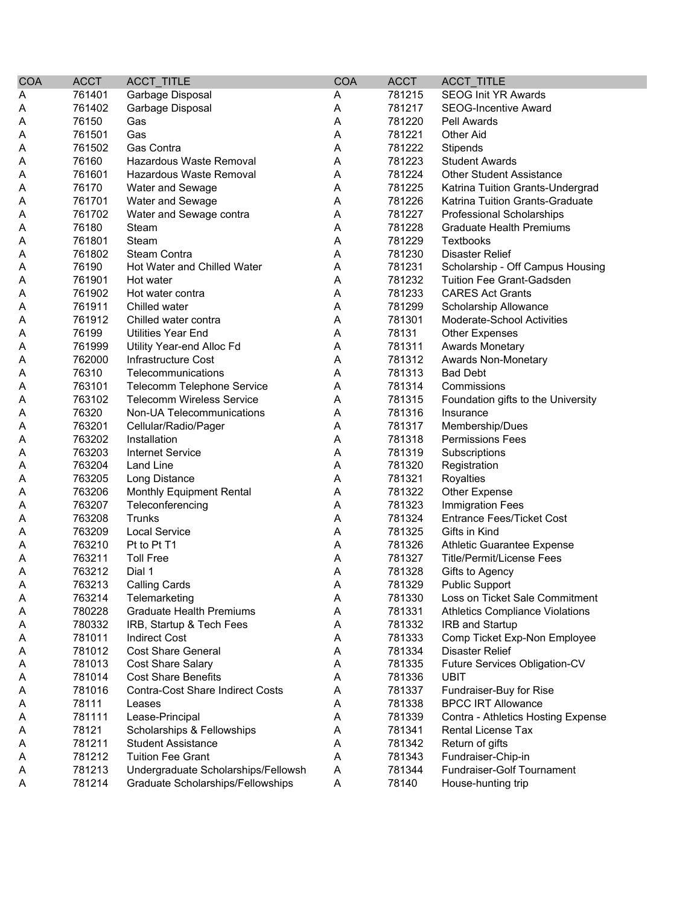| <b>COA</b> | <b>ACCT</b> | ACCT_TITLE                              | <b>COA</b> | <b>ACCT</b> | ACCT_TITLE                             |
|------------|-------------|-----------------------------------------|------------|-------------|----------------------------------------|
| Α          | 761401      | Garbage Disposal                        | Α          | 781215      | <b>SEOG Init YR Awards</b>             |
| Α          | 761402      | Garbage Disposal                        | A          | 781217      | <b>SEOG-Incentive Award</b>            |
| Α          | 76150       | Gas                                     | A          | 781220      | Pell Awards                            |
| Α          | 761501      | Gas                                     | A          | 781221      | <b>Other Aid</b>                       |
| Α          | 761502      | Gas Contra                              | Α          | 781222      | Stipends                               |
| Α          | 76160       | Hazardous Waste Removal                 | A          | 781223      | <b>Student Awards</b>                  |
| Α          | 761601      | Hazardous Waste Removal                 | A          | 781224      | <b>Other Student Assistance</b>        |
| Α          | 76170       | <b>Water and Sewage</b>                 | A          | 781225      | Katrina Tuition Grants-Undergrad       |
| Α          | 761701      | Water and Sewage                        | A          | 781226      | Katrina Tuition Grants-Graduate        |
| Α          | 761702      | Water and Sewage contra                 | A          | 781227      | Professional Scholarships              |
| A          | 76180       | Steam                                   | A          | 781228      | <b>Graduate Health Premiums</b>        |
| Α          | 761801      | Steam                                   | A          | 781229      | Textbooks                              |
| Α          | 761802      | Steam Contra                            | A          | 781230      | <b>Disaster Relief</b>                 |
| Α          | 76190       | Hot Water and Chilled Water             | A          | 781231      | Scholarship - Off Campus Housing       |
| Α          | 761901      | Hot water                               | Α          | 781232      | <b>Tuition Fee Grant-Gadsden</b>       |
| Α          | 761902      | Hot water contra                        | A          | 781233      | <b>CARES Act Grants</b>                |
| Α          | 761911      | Chilled water                           | A          | 781299      | Scholarship Allowance                  |
| Α          | 761912      | Chilled water contra                    | A          | 781301      | Moderate-School Activities             |
| Α          | 76199       | <b>Utilities Year End</b>               | Α          | 78131       | <b>Other Expenses</b>                  |
| Α          | 761999      | Utility Year-end Alloc Fd               | A          | 781311      | <b>Awards Monetary</b>                 |
| A          | 762000      | Infrastructure Cost                     | A          | 781312      | Awards Non-Monetary                    |
| A          | 76310       | Telecommunications                      | A          | 781313      | <b>Bad Debt</b>                        |
| Α          | 763101      | Telecomm Telephone Service              | A          | 781314      | Commissions                            |
| Α          | 763102      | <b>Telecomm Wireless Service</b>        | A          | 781315      | Foundation gifts to the University     |
| Α          | 76320       | Non-UA Telecommunications               | A          | 781316      | Insurance                              |
| Α          | 763201      | Cellular/Radio/Pager                    | A          | 781317      | Membership/Dues                        |
| Α          | 763202      | Installation                            | A          | 781318      | <b>Permissions Fees</b>                |
| Α          | 763203      | <b>Internet Service</b>                 | A          | 781319      | Subscriptions                          |
| Α          | 763204      | Land Line                               | A          | 781320      | Registration                           |
| Α          | 763205      | Long Distance                           | A          | 781321      | Royalties                              |
| Α          | 763206      | Monthly Equipment Rental                | A          | 781322      | Other Expense                          |
| Α          | 763207      | Teleconferencing                        | A          | 781323      | <b>Immigration Fees</b>                |
| A          | 763208      | Trunks                                  | A          | 781324      | <b>Entrance Fees/Ticket Cost</b>       |
| Α          | 763209      | <b>Local Service</b>                    | Α          | 781325      | Gifts in Kind                          |
| Α          | 763210      | Pt to Pt T1                             | A          | 781326      | Athletic Guarantee Expense             |
| Α          | 763211      | <b>Toll Free</b>                        | A          | 781327      | <b>Title/Permit/License Fees</b>       |
| A          | 763212      | Dial 1                                  | A          | 781328      | Gifts to Agency                        |
| Α          | 763213      | <b>Calling Cards</b>                    | A          | 781329      | <b>Public Support</b>                  |
| A          | 763214      | Telemarketing                           | Α          | 781330      | Loss on Ticket Sale Commitment         |
| Α          | 780228      | <b>Graduate Health Premiums</b>         | A          | 781331      | <b>Athletics Compliance Violations</b> |
| Α          | 780332      | IRB, Startup & Tech Fees                | A          | 781332      | IRB and Startup                        |
| Α          | 781011      | <b>Indirect Cost</b>                    | A          | 781333      | Comp Ticket Exp-Non Employee           |
| Α          | 781012      | <b>Cost Share General</b>               | A          | 781334      | <b>Disaster Relief</b>                 |
| Α          | 781013      | <b>Cost Share Salary</b>                | A          | 781335      | Future Services Obligation-CV          |
| Α          | 781014      | <b>Cost Share Benefits</b>              | A          | 781336      | <b>UBIT</b>                            |
| A          | 781016      | <b>Contra-Cost Share Indirect Costs</b> | A          | 781337      | Fundraiser-Buy for Rise                |
|            | 78111       |                                         | Α          | 781338      | <b>BPCC IRT Allowance</b>              |
| Α          |             | Leases                                  |            | 781339      |                                        |
| Α          | 781111      | Lease-Principal                         | Α          |             | Contra - Athletics Hosting Expense     |
| Α          | 78121       | Scholarships & Fellowships              | Α          | 781341      | <b>Rental License Tax</b>              |
| Α          | 781211      | <b>Student Assistance</b>               | A          | 781342      | Return of gifts                        |
| Α          | 781212      | <b>Tuition Fee Grant</b>                | A          | 781343      | Fundraiser-Chip-in                     |
| Α          | 781213      | Undergraduate Scholarships/Fellowsh     | A          | 781344      | Fundraiser-Golf Tournament             |
| A          | 781214      | Graduate Scholarships/Fellowships       | A          | 78140       | House-hunting trip                     |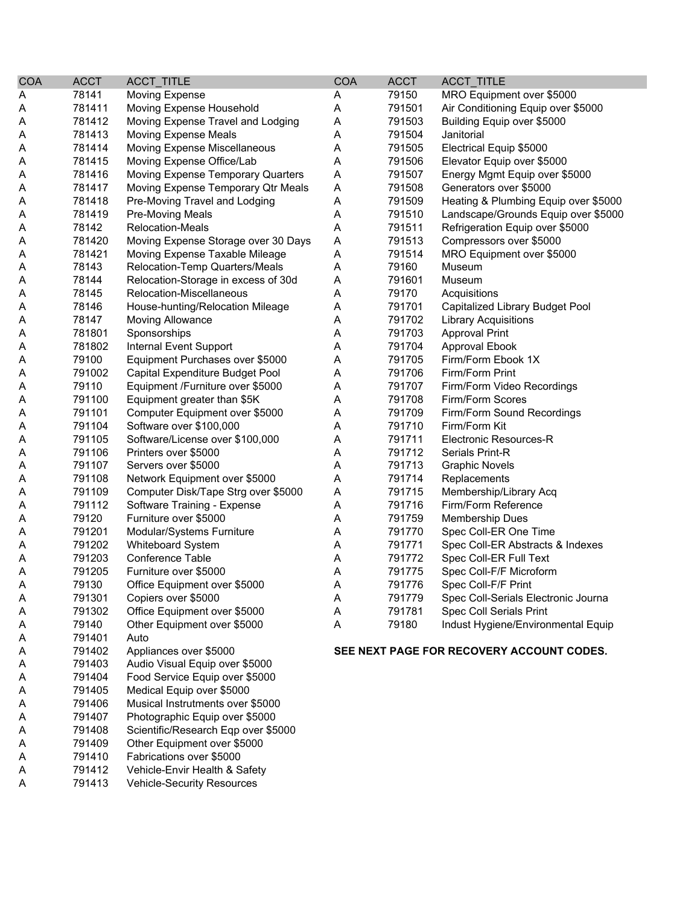| <b>COA</b> | <b>ACCT</b> | ACCT_TITLE                          | COA | <b>ACCT</b> | ACCT_TITLE                                |
|------------|-------------|-------------------------------------|-----|-------------|-------------------------------------------|
| Α          | 78141       | <b>Moving Expense</b>               | A   | 79150       | MRO Equipment over \$5000                 |
| Α          | 781411      | Moving Expense Household            | A   | 791501      | Air Conditioning Equip over \$5000        |
| A          | 781412      | Moving Expense Travel and Lodging   | A   | 791503      | Building Equip over \$5000                |
| Α          | 781413      | <b>Moving Expense Meals</b>         | Α   | 791504      | Janitorial                                |
| Α          | 781414      | Moving Expense Miscellaneous        | Α   | 791505      | Electrical Equip \$5000                   |
| A          | 781415      | Moving Expense Office/Lab           | Α   | 791506      | Elevator Equip over \$5000                |
| A          | 781416      | Moving Expense Temporary Quarters   | A   | 791507      | Energy Mgmt Equip over \$5000             |
| Α          | 781417      | Moving Expense Temporary Qtr Meals  | Α   | 791508      | Generators over \$5000                    |
| Α          | 781418      | Pre-Moving Travel and Lodging       | Α   | 791509      | Heating & Plumbing Equip over \$5000      |
| A          | 781419      | <b>Pre-Moving Meals</b>             | Α   | 791510      | Landscape/Grounds Equip over \$5000       |
| A          | 78142       | <b>Relocation-Meals</b>             | Α   | 791511      | Refrigeration Equip over \$5000           |
| A          | 781420      | Moving Expense Storage over 30 Days | A   | 791513      | Compressors over \$5000                   |
| Α          | 781421      | Moving Expense Taxable Mileage      | A   | 791514      | MRO Equipment over \$5000                 |
| A          | 78143       | Relocation-Temp Quarters/Meals      | A   | 79160       | Museum                                    |
| Α          | 78144       | Relocation-Storage in excess of 30d | A   | 791601      | Museum                                    |
| A          | 78145       | Relocation-Miscellaneous            | A   | 79170       | Acquisitions                              |
| A          | 78146       | House-hunting/Relocation Mileage    | Α   | 791701      | Capitalized Library Budget Pool           |
| A          | 78147       | <b>Moving Allowance</b>             | Α   | 791702      | <b>Library Acquisitions</b>               |
| A          | 781801      | Sponsorships                        | Α   | 791703      | <b>Approval Print</b>                     |
| A          | 781802      | Internal Event Support              | Α   | 791704      | <b>Approval Ebook</b>                     |
| A          | 79100       | Equipment Purchases over \$5000     | A   | 791705      | Firm/Form Ebook 1X                        |
| A          | 791002      | Capital Expenditure Budget Pool     | Α   | 791706      | Firm/Form Print                           |
| A          | 79110       | Equipment /Furniture over \$5000    | A   | 791707      | Firm/Form Video Recordings                |
| A          | 791100      | Equipment greater than \$5K         | Α   | 791708      | Firm/Form Scores                          |
| A          | 791101      | Computer Equipment over \$5000      | Α   | 791709      | Firm/Form Sound Recordings                |
| A          | 791104      | Software over \$100,000             | Α   | 791710      | Firm/Form Kit                             |
| A          | 791105      | Software/License over \$100,000     | Α   | 791711      | Electronic Resources-R                    |
| A          | 791106      | Printers over \$5000                | A   | 791712      | Serials Print-R                           |
| Α          | 791107      | Servers over \$5000                 | A   | 791713      | <b>Graphic Novels</b>                     |
| A          | 791108      | Network Equipment over \$5000       | A   | 791714      | Replacements                              |
| A          | 791109      | Computer Disk/Tape Strg over \$5000 | A   | 791715      | Membership/Library Acq                    |
| A          | 791112      | Software Training - Expense         | Α   | 791716      | Firm/Form Reference                       |
| Α          | 79120       | Furniture over \$5000               | Α   | 791759      | Membership Dues                           |
| A          | 791201      | Modular/Systems Furniture           | Α   | 791770      | Spec Coll-ER One Time                     |
| A          | 791202      | <b>Whiteboard System</b>            | Α   | 791771      | Spec Coll-ER Abstracts & Indexes          |
| Α          | 791203      | Conference Table                    | Α   | 791772      | Spec Coll-ER Full Text                    |
| Α          | 791205      | Furniture over \$5000               | Α   | 791775      | Spec Coll-F/F Microform                   |
| Α          | 79130       | Office Equipment over \$5000        | A   | 791776      | Spec Coll-F/F Print                       |
| A          | 791301      | Copiers over \$5000                 | A   | 791779      | Spec Coll-Serials Electronic Journa       |
| Α          | 791302      | Office Equipment over \$5000        | Α   | 791781      | Spec Coll Serials Print                   |
| A          | 79140       | Other Equipment over \$5000         | Α   | 79180       | Indust Hygiene/Environmental Equip        |
| A          | 791401      | Auto                                |     |             |                                           |
| A          | 791402      | Appliances over \$5000              |     |             | SEE NEXT PAGE FOR RECOVERY ACCOUNT CODES. |
| Α          | 791403      | Audio Visual Equip over \$5000      |     |             |                                           |
| A          | 791404      | Food Service Equip over \$5000      |     |             |                                           |
| A          | 791405      | Medical Equip over \$5000           |     |             |                                           |
| Α          | 791406      | Musical Instrutments over \$5000    |     |             |                                           |
| A          | 791407      | Photographic Equip over \$5000      |     |             |                                           |
| A          | 791408      | Scientific/Research Eqp over \$5000 |     |             |                                           |
| A          | 791409      | Other Equipment over \$5000         |     |             |                                           |
| Α          | 791410      | Fabrications over \$5000            |     |             |                                           |
| Α          | 791412      | Vehicle-Envir Health & Safety       |     |             |                                           |
|            |             |                                     |     |             |                                           |

A 791413 Vehicle-Security Resources